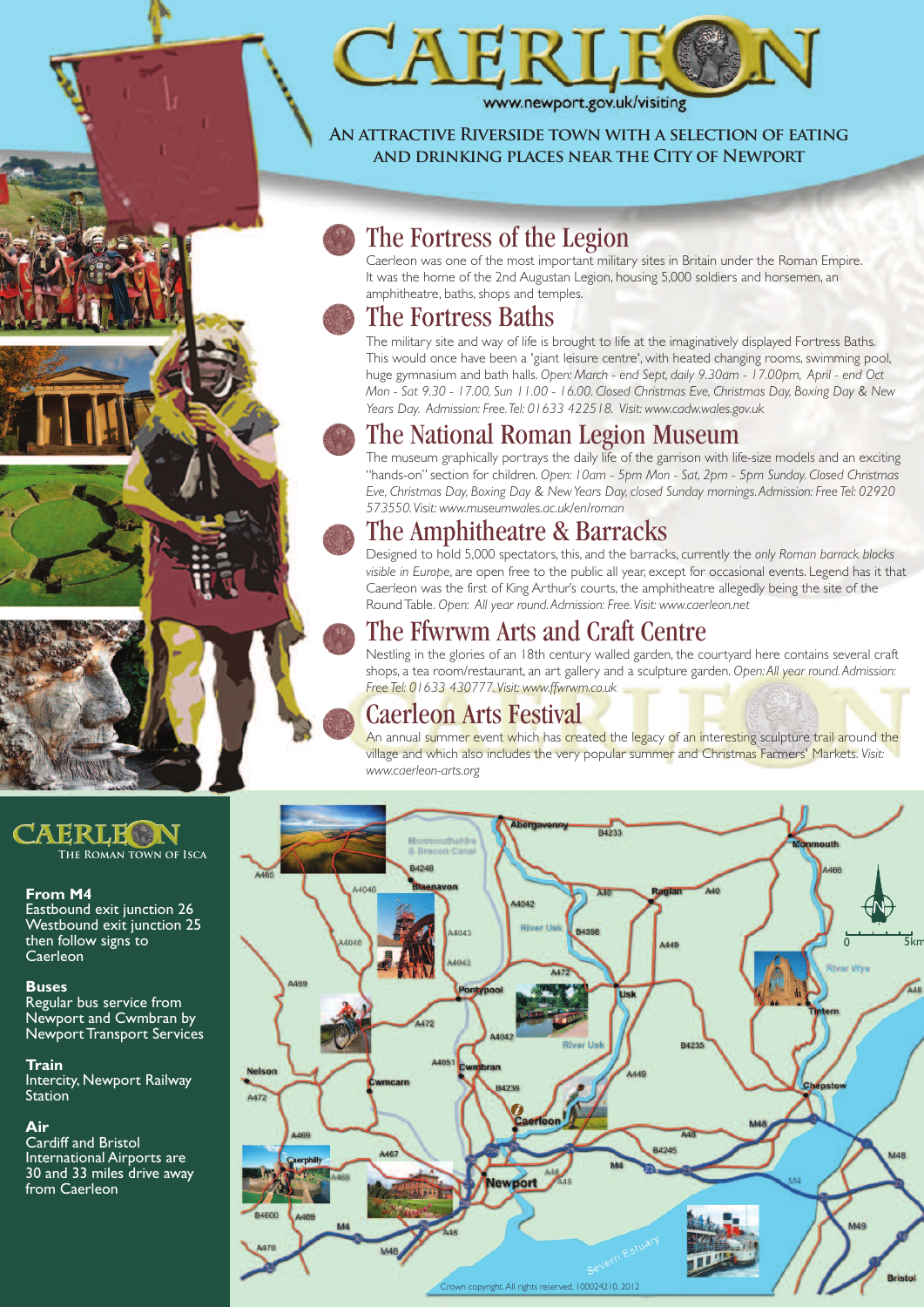

#### **An attractive Riverside town with a selection of eating and drinking places near the City of Newport**

## The Fortress of the Legion

Caerleon was one of the most important military sites in Britain under the Roman Empire. It was the home of the 2nd Augustan Legion, housing 5,000 soldiers and horsemen, an amphitheatre, baths, shops and temples.

## The Fortress Baths

The military site and way of life is brought to life at the imaginatively displayed Fortress Baths. This would once have been a 'giant leisure centre', with heated changing rooms, swimming pool, huge gymnasium and bath halls. *Open: March - end Sept, daily 9.30am - 17.00pm, April - end Oct* Mon - Sat 9.30 - 17.00, Sun 11.00 - 16.00. Closed Christmas Eve, Christmas Day, Boxing Day & New *Years Day. Admission: Free.Tel: 01633 422518. Visit: www.cadw.wales.gov.uk*

## The National Roman Legion Museum

The museum graphically portrays the daily life of the garrison with life-size models and an exciting "hands-on"section for children. *Open: 10am - 5pm Mon - Sat, 2pm - 5pm Sunday. Closed Christmas Eve, Christmas Day, Boxing Day & NewYears Day, closed Sunday mornings.Admission: Free Tel: 02920 573550.Visit: www.museumwales.ac.uk/en/roman*

#### The Amphitheatre & Barracks

Designed to hold 5,000 spectators, this, and the barracks, currently the *only Roman barrack blocks visible in Europe*, are open free to the public all year, except for occasional events. Legend has it that Caerleon was the first of King Arthur's courts, the amphitheatre allegedly being the site of the RoundTable. *Open: All year round.Admission: Free.Visit: www.caerleon.net*

## The Ffwrwm Arts and Craft Centre

Nestling in the glories of an 18th century walled garden, the courtyard here contains several craft shops, a tea room/restaurant, an art gallery and a sculpture garden. *Open:All year round.Admission: Free Tel: 01633 430777.Visit: www.ffwrwm.co.uk*

# Caerleon Arts Festival

An annual summer event which has created the legacy of an interesting sculpture trail around the village and which also includes the very popular summer and Christmas Farmers' Markets. *Visit: www.caerleon-arts.org*



**AERLE N The Roman town of Isca**

**From M4**

Eastbound exit junction 26 Westbound exit junction 25 then follow signs to **Caerleon** 

#### **Buses**

Regular bus service from Newport and Cwmbran by Newport Transport Services

#### **Train**

Intercity, Newport Railway Station

#### **Air**

Cardiff and Bristol International Airports are 30 and 33 miles drive away from Caerleon